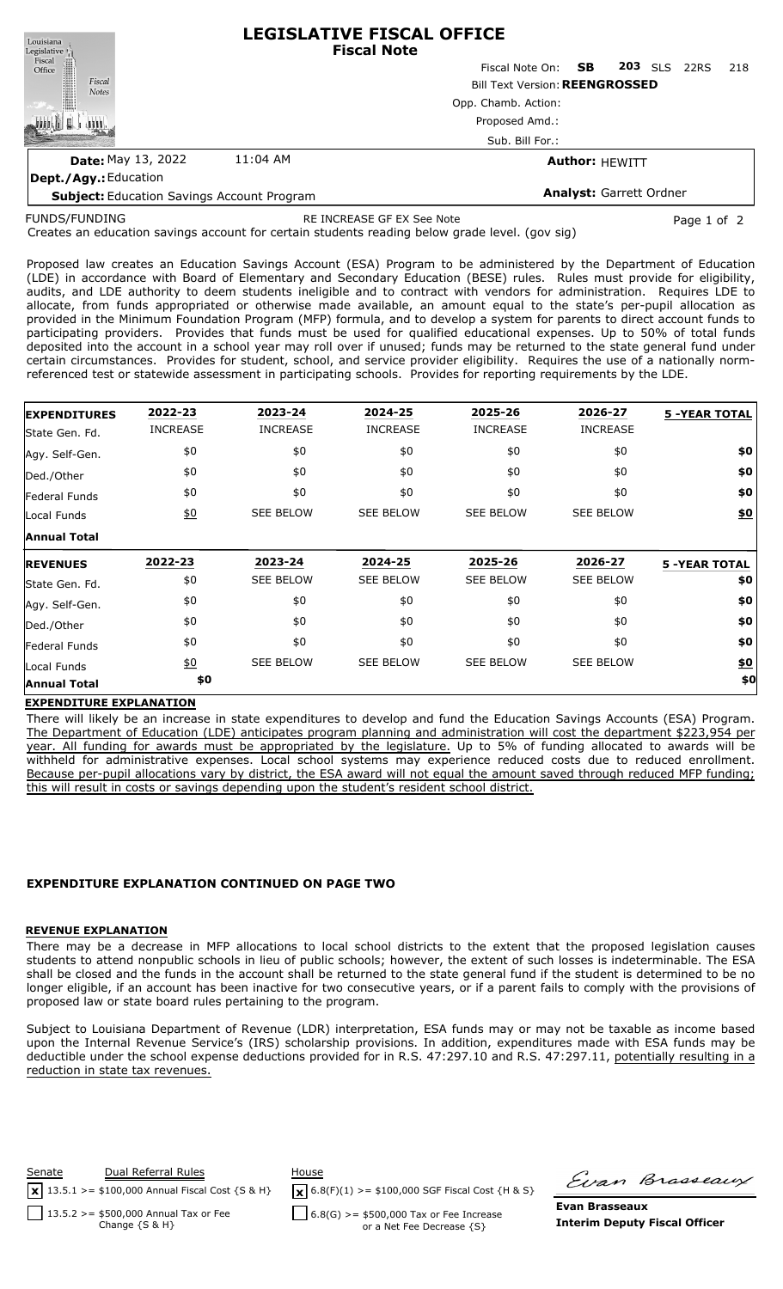| Louisiana                                                                                                    |                                       | <b>LEGISLATIVE FISCAL OFFICE</b><br><b>Fiscal Note</b> |      |  |                |      |     |  |  |  |
|--------------------------------------------------------------------------------------------------------------|---------------------------------------|--------------------------------------------------------|------|--|----------------|------|-----|--|--|--|
| $\begin{tabular}{c} \bf \textit{Legislative} \\ \bf \textit{Fiscal} \\ \bf \textit{Office} \\ \end{tabular}$ |                                       | Fiscal Note On:                                        | - SB |  | <b>203</b> SLS | 22RS | 218 |  |  |  |
| Fiscal<br><b>Notes</b>                                                                                       | <b>Bill Text Version: REENGROSSED</b> |                                                        |      |  |                |      |     |  |  |  |
|                                                                                                              |                                       | Opp. Chamb. Action:                                    |      |  |                |      |     |  |  |  |
|                                                                                                              |                                       | Proposed Amd.:                                         |      |  |                |      |     |  |  |  |
|                                                                                                              | Sub. Bill For.:                       |                                                        |      |  |                |      |     |  |  |  |
| <b>Date: May 13, 2022</b>                                                                                    | 11:04 AM                              | <b>Author: HEWITT</b>                                  |      |  |                |      |     |  |  |  |
| Dept./Agy.: Education                                                                                        |                                       |                                                        |      |  |                |      |     |  |  |  |

**Subject:** Education Savings Account Program

**Analyst:** Garrett Ordner

FUNDS/FUNDING

RE INCREASE GF EX See Note **Page 1 of 2** and 2

Creates an education savings account for certain students reading below grade level. (gov sig)

Proposed law creates an Education Savings Account (ESA) Program to be administered by the Department of Education (LDE) in accordance with Board of Elementary and Secondary Education (BESE) rules. Rules must provide for eligibility, audits, and LDE authority to deem students ineligible and to contract with vendors for administration. Requires LDE to allocate, from funds appropriated or otherwise made available, an amount equal to the state's per-pupil allocation as provided in the Minimum Foundation Program (MFP) formula, and to develop a system for parents to direct account funds to participating providers. Provides that funds must be used for qualified educational expenses. Up to 50% of total funds deposited into the account in a school year may roll over if unused; funds may be returned to the state general fund under certain circumstances. Provides for student, school, and service provider eligibility. Requires the use of a nationally normreferenced test or statewide assessment in participating schools. Provides for reporting requirements by the LDE.

| <b>EXPENDITURES</b>          | 2022-23          | 2023-24          | 2024-25          | 2025-26          | 2026-27          | <b>5 -YEAR TOTAL</b> |
|------------------------------|------------------|------------------|------------------|------------------|------------------|----------------------|
| State Gen. Fd.               | <b>INCREASE</b>  | <b>INCREASE</b>  | <b>INCREASE</b>  | <b>INCREASE</b>  | <b>INCREASE</b>  |                      |
| Agy. Self-Gen.               | \$0              | \$0              | \$0              | \$0              | \$0              | \$0                  |
| Ded./Other                   | \$0              | \$0              | \$0              | \$0              | \$0              | \$0                  |
| Federal Funds                | \$0              | \$0              | \$0              | \$0              | \$0              | \$0                  |
| Local Funds                  | $\underline{40}$ | <b>SEE BELOW</b> | <b>SEE BELOW</b> | <b>SEE BELOW</b> | <b>SEE BELOW</b> | \$0                  |
| <b>Annual Total</b>          |                  |                  |                  |                  |                  |                      |
| <b>REVENUES</b>              | 2022-23          | 2023-24          | 2024-25          | 2025-26          | 2026-27          | <b>5 -YEAR TOTAL</b> |
|                              |                  |                  |                  |                  |                  |                      |
| State Gen. Fd.               | \$0              | <b>SEE BELOW</b> | <b>SEE BELOW</b> | <b>SEE BELOW</b> | <b>SEE BELOW</b> | \$0                  |
| Agy. Self-Gen.               | \$0              | \$0              | \$0              | \$0              | \$0              | \$0                  |
| Ded./Other                   | \$0              | \$0              | \$0              | \$0              | \$0              | \$0                  |
|                              | \$0              | \$0              | \$0              | \$0              | \$0              | \$0                  |
| Federal Funds<br>Local Funds | $\underline{50}$ | <b>SEE BELOW</b> | <b>SEE BELOW</b> | <b>SEE BELOW</b> | <b>SEE BELOW</b> | <u>\$0</u>           |

## **EXPENDITURE EXPLANATION**

There will likely be an increase in state expenditures to develop and fund the Education Savings Accounts (ESA) Program. The Department of Education (LDE) anticipates program planning and administration will cost the department \$223,954 per year. All funding for awards must be appropriated by the legislature. Up to 5% of funding allocated to awards will be withheld for administrative expenses. Local school systems may experience reduced costs due to reduced enrollment. Because per-pupil allocations vary by district, the ESA award will not equal the amount saved through reduced MFP funding; this will result in costs or savings depending upon the student's resident school district.

## **EXPENDITURE EXPLANATION CONTINUED ON PAGE TWO**

## **REVENUE EXPLANATION**

There may be a decrease in MFP allocations to local school districts to the extent that the proposed legislation causes students to attend nonpublic schools in lieu of public schools; however, the extent of such losses is indeterminable. The ESA shall be closed and the funds in the account shall be returned to the state general fund if the student is determined to be no longer eligible, if an account has been inactive for two consecutive years, or if a parent fails to comply with the provisions of proposed law or state board rules pertaining to the program.

Subject to Louisiana Department of Revenue (LDR) interpretation, ESA funds may or may not be taxable as income based upon the Internal Revenue Service's (IRS) scholarship provisions. In addition, expenditures made with ESA funds may be deductible under the school expense deductions provided for in R.S. 47:297.10 and R.S. 47:297.11, potentially resulting in a reduction in state tax revenues.



 $\sqrt{\mathbf{x}}$  6.8(F)(1) >= \$100,000 SGF Fiscal Cost {H & S}

Firan Brasseaux

 $6.8(G)$  >= \$500,000 Tax or Fee Increase or a Net Fee Decrease {S}

**Evan Brasseaux Interim Deputy Fiscal Officer**